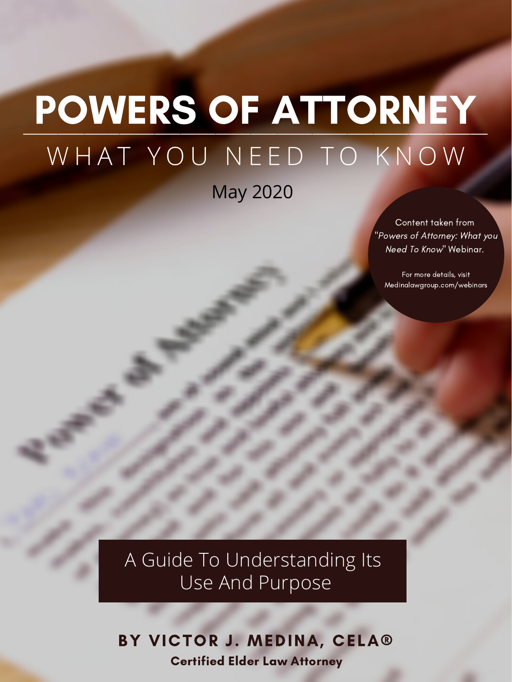BY VICTOR J. MEDINA, CELA® Certified Elder Law Attorney

A Guide To Understanding Its Use And Purpose

Content taken from "Powers of Attorney: What you Need To Know " Webinar.

For more details, visit Medinalawgroup.com/webinars

### POWERS OF ATTORNEY WHAT YOU NEED TO KNOW

May 2020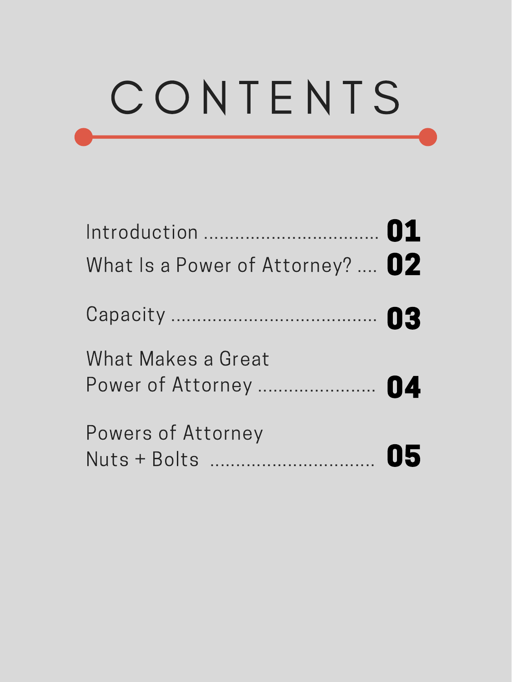# C O N T E N T S

Introduction .................................. 01 What Is a Power of Attorney? .... 02 Capacity ........................................ 03

 $M \cup M$  Makes  $\bigcap_{i=1}^{n}$ 

| What Makes a Great    |  |
|-----------------------|--|
| Power of Attorney  04 |  |

#### Powers of Attorney Nuts <sup>+</sup> Bolts ................................ 05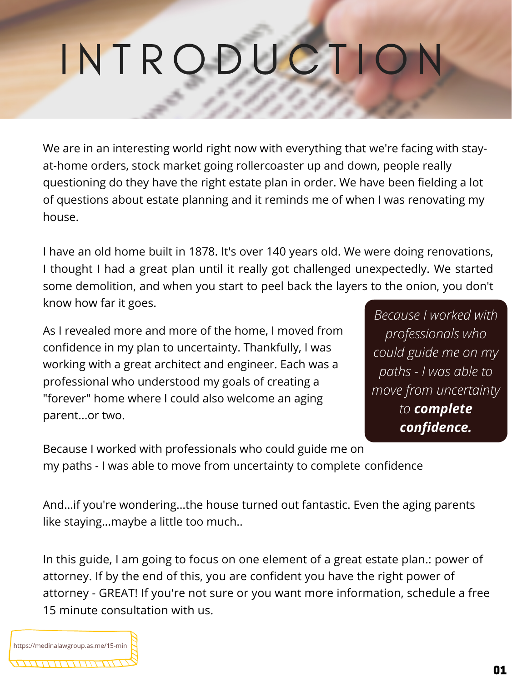We are in an interesting world right now with everything that we're facing with stayat-home orders, stock market going rollercoaster up and down, people really questioning do they have the right estate plan in order. We have been fielding a lot of questions about estate planning and it reminds me of when I was renovating my house.

I have an old home built in 1878. It's over 140 years old. We were doing renovations, I thought I had a great plan until it really got challenged unexpectedly. We started some demolition, and when you start to peel back the layers to the onion, you don't know how far it goes.

# I N T R O D U C T I O N

As I revealed more and more of the home, I moved from confidence in my plan to uncertainty. Thankfully, I was

working with a great architect and engineer. Each was a professional who understood my goals of creating a "forever" home where I could also welcome an aging parent...or two.

*Because I worked with professionals who could guide me on my paths - I was able to move from uncertainty to complete confidence.*

Because I worked with professionals who could guide me on my paths - I was able to move from uncertainty to complete confidence

In this guide, I am going to focus on one element of a great estate plan.: power of attorney. If by the end of this, you are confident you have the right power of attorney - GREAT! If you're not sure or you want more information, schedule a free 15 minute consultation with us.



And...if you're wondering...the house turned out fantastic. Even the aging parents like staying...maybe a little too much..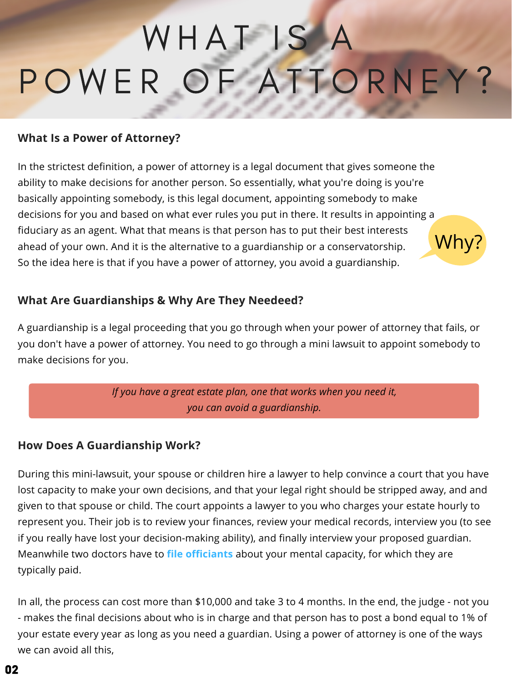In the strictest definition, a power of attorney is a legal document that gives someone the ability to make decisions for another person. So essentially, what you're doing is you're basically appointing somebody, is this legal document, appointing somebody to make decisions for you and based on what ever rules you put in there. It results in appointing a fiduciary as an agent. What that means is that person has to put their best interests ahead of your own. And it is the alternative to a guardianship or a conservatorship. So the idea here is that if you have a power of attorney, you avoid a guardianship. Why?

# WHAT IS A POWER OF ATTORNEY?

#### **What Is a Power of Attorney?**

#### **What Are Guardianships & Why Are They Needeed?**

A guardianship is a legal proceeding that you go through when your power of attorney that fails, or you don't have a power of attorney. You need to go through a mini lawsuit to appoint somebody to

*If you have a great estate plan, one that works when you need it, you can avoid a guardianship.*

#### **How Does A Guardianship Work?**

During this mini-lawsuit, your spouse or children hire a lawyer to help convince a court that you have lost capacity to make your own decisions, and that your legal right should be stripped away, and and given to that spouse or child. The court appoints a lawyer to you who charges your estate hourly to represent you. Their job is to review your finances, review your medical records, interview you (to see if you really have lost your decision-making ability), and finally interview your proposed guardian. Meanwhile two doctors have to **file officiants** about your mental capacity, for which they are typically paid.

In all, the process can cost more than \$10,000 and take 3 to 4 months. In the end, the judge - not you - makes the final decisions about who is in charge and that person has to post a bond equal to 1% of your estate every year as long as you need a guardian. Using a power of attorney is one of the ways we can avoid all this,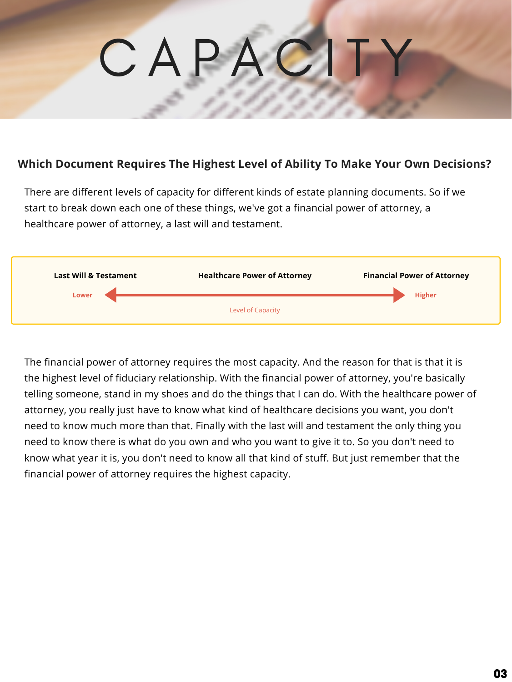There are different levels of capacity for different kinds of estate planning documents. So if we start to break down each one of these things, we've got a financial power of attorney, a healthcare power of attorney, a last will and testament.

The financial power of attorney requires the most capacity. And the reason for that is that it is the highest level of fiduciary relationship. With the financial power of attorney, you're basically telling someone, stand in my shoes and do the things that I can do. With the healthcare power of attorney, you really just have to know what kind of healthcare decisions you want, you don't need to know much more than that. Finally with the last will and testament the only thing you need to know there is what do you own and who you want to give it to. So you don't need to know what year it is, you don't need to know all that kind of stuff. But just remember that the financial power of attorney requires the highest capacity.



#### **Which Document Requires The Highest Level of Ability To Make Your Own Decisions?**

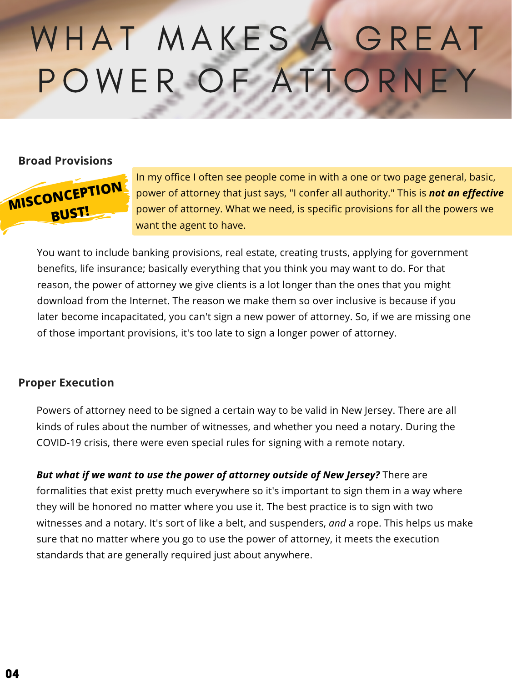

In my office I often see people come in with a one or two page general, basic, power of attorney that just says, "I confer all authority." This is *not an effective* power of attorney. What we need, is specific provisions for all the powers we want the agent to have.

## WHAT MAKES A GREAT POWER OF ATTORNEY

#### **Broad Provisions**

You want to include banking provisions, real estate, creating trusts, applying for government benefits, life insurance; basically everything that you think you may want to do. For that reason, the power of attorney we give clients is a lot longer than the ones that you might download from the Internet. The reason we make them so over inclusive is because if you later become incapacitated, you can't sign a new power of attorney. So, if we are missing one of those important provisions, it's too late to sign a longer power of attorney.

Powers of attorney need to be signed a certain way to be valid in New Jersey. There are all kinds of rules about the number of witnesses, and whether you need a notary. During the COVID-19 crisis, there were even special rules for signing with a remote notary.

*But what if we want to use the power of attorney outside of New Jersey?* There are formalities that exist pretty much everywhere so it's important to sign them in a way where they will be honored no matter where you use it. The best practice is to sign with two witnesses and a notary. It's sort of like a belt, and suspenders, *and* a rope. This helps us make sure that no matter where you go to use the power of attorney, it meets the execution standards that are generally required just about anywhere.

#### **Proper Execution**